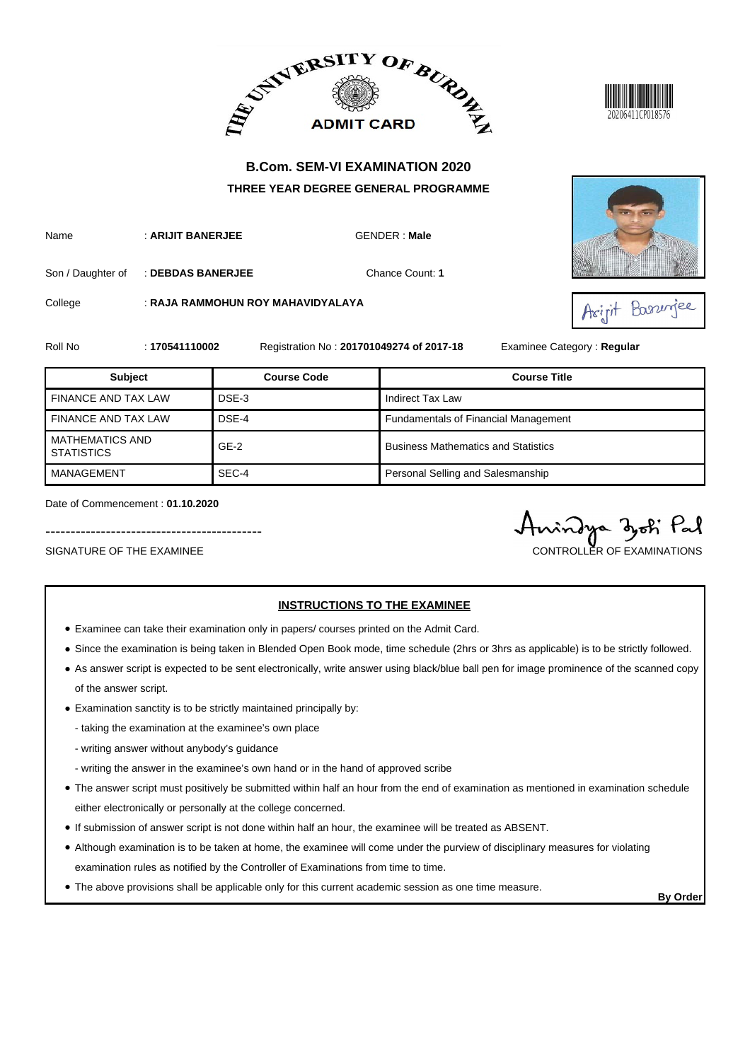



Name : **ARIJIT BANERJEE** GENDER : **Male**

Son / Daughter of : DEBDAS BANERJEE **Chance Count: 1** 

College : **RAJA RAMMOHUN ROY MAHAVIDYALAYA**





Roll No : **170541110002** Registration No : **201701049274 of 2017-18** Examinee Category : **Regular**

| <b>Subject</b>                              | <b>Course Code</b> | <b>Course Title</b>                         |
|---------------------------------------------|--------------------|---------------------------------------------|
| FINANCE AND TAX LAW                         | DSE-3              | Indirect Tax Law                            |
| <b>FINANCE AND TAX LAW</b>                  | DSE-4              | <b>Fundamentals of Financial Management</b> |
| <b>MATHEMATICS AND</b><br><b>STATISTICS</b> | $GE-2$             | <b>Business Mathematics and Statistics</b>  |
| MANAGEMENT                                  | SEC-4              | Personal Selling and Salesmanship           |

Date of Commencement : **01.10.2020**

SIGNATURE OF THE EXAMINEE CONTROLLER OF EXAMINATIONS

-------------------------------------------

#### **INSTRUCTIONS TO THE EXAMINEE**

- Examinee can take their examination only in papers/ courses printed on the Admit Card.
- Since the examination is being taken in Blended Open Book mode, time schedule (2hrs or 3hrs as applicable) is to be strictly followed.
- As answer script is expected to be sent electronically, write answer using black/blue ball pen for image prominence of the scanned copy of the answer script.
- Examination sanctity is to be strictly maintained principally by:
	- taking the examination at the examinee's own place
	- writing answer without anybody's guidance
	- writing the answer in the examinee's own hand or in the hand of approved scribe
- The answer script must positively be submitted within half an hour from the end of examination as mentioned in examination schedule either electronically or personally at the college concerned.
- If submission of answer script is not done within half an hour, the examinee will be treated as ABSENT.
- Although examination is to be taken at home, the examinee will come under the purview of disciplinary measures for violating examination rules as notified by the Controller of Examinations from time to time.
- The above provisions shall be applicable only for this current academic session as one time measure.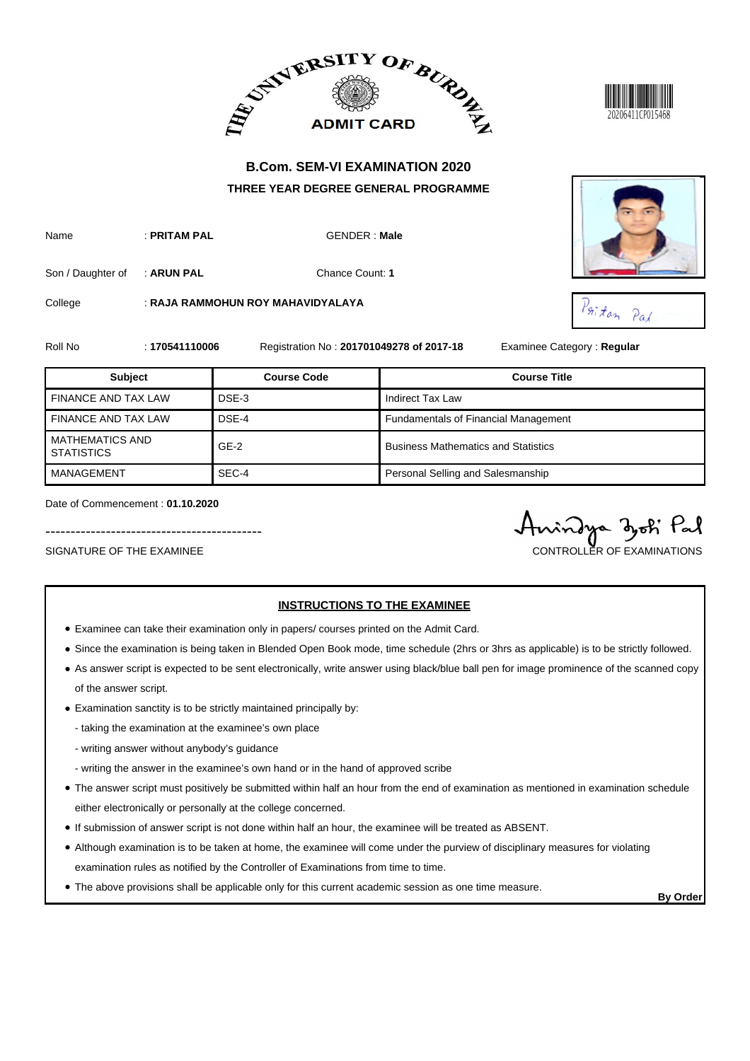



Name : **PRITAM PAL** GENDER : Male

Son / Daughter of : **ARUN PAL** Chance Count: **1** 

College : **RAJA RAMMOHUN ROY MAHAVIDYALAYA**





Roll No : **170541110006** Registration No : **201701049278 of 2017-18** Examinee Category : **Regular**

| <b>Subject</b>                              | <b>Course Code</b> | <b>Course Title</b>                         |
|---------------------------------------------|--------------------|---------------------------------------------|
| <b>FINANCE AND TAX LAW</b>                  | DSE-3              | Indirect Tax Law                            |
| <b>FINANCE AND TAX LAW</b>                  | DSE-4              | <b>Fundamentals of Financial Management</b> |
| <b>MATHEMATICS AND</b><br><b>STATISTICS</b> | $GE-2$             | <b>Business Mathematics and Statistics</b>  |
| MANAGEMENT                                  | SEC-4              | Personal Selling and Salesmanship           |

Date of Commencement : **01.10.2020**

SIGNATURE OF THE EXAMINEE CONTROLLER OF EXAMINATIONS

-------------------------------------------

## **INSTRUCTIONS TO THE EXAMINEE**

- Examinee can take their examination only in papers/ courses printed on the Admit Card.
- Since the examination is being taken in Blended Open Book mode, time schedule (2hrs or 3hrs as applicable) is to be strictly followed.
- As answer script is expected to be sent electronically, write answer using black/blue ball pen for image prominence of the scanned copy of the answer script.
- Examination sanctity is to be strictly maintained principally by:
	- taking the examination at the examinee's own place
	- writing answer without anybody's guidance
	- writing the answer in the examinee's own hand or in the hand of approved scribe
- The answer script must positively be submitted within half an hour from the end of examination as mentioned in examination schedule either electronically or personally at the college concerned.
- If submission of answer script is not done within half an hour, the examinee will be treated as ABSENT.
- Although examination is to be taken at home, the examinee will come under the purview of disciplinary measures for violating examination rules as notified by the Controller of Examinations from time to time.
- The above provisions shall be applicable only for this current academic session as one time measure.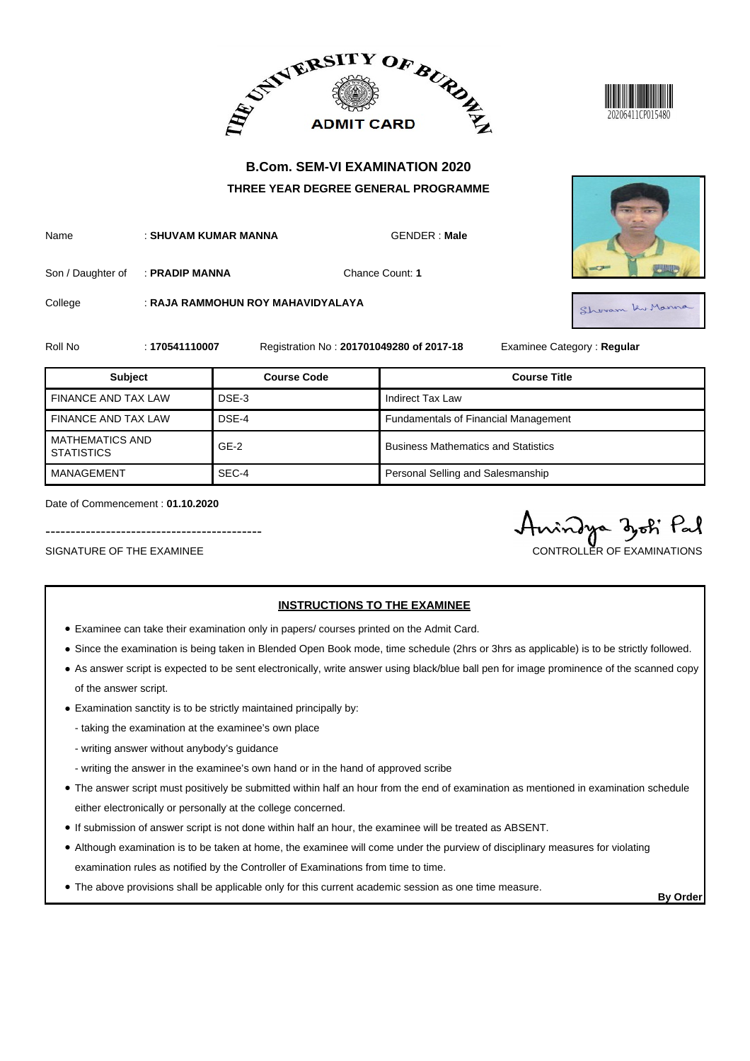



Name : **SHUVAM KUMAR MANNA GENDER : Male** 

Son / Daughter of : **PRADIP MANNA Chance Count: 1** 

College : **RAJA RAMMOHUN ROY MAHAVIDYALAYA**

KuManna

Roll No : **170541110007** Registration No : **201701049280 of 2017-18** Examinee Category : **Regular**

| <b>Subject</b>                              | <b>Course Code</b> | <b>Course Title</b>                         |
|---------------------------------------------|--------------------|---------------------------------------------|
| <b>FINANCE AND TAX LAW</b>                  | DSE-3              | Indirect Tax Law                            |
| <b>FINANCE AND TAX LAW</b>                  | DSE-4              | <b>Fundamentals of Financial Management</b> |
| <b>MATHEMATICS AND</b><br><b>STATISTICS</b> | $GE-2$             | <b>Business Mathematics and Statistics</b>  |
| MANAGEMENT                                  | SEC-4              | Personal Selling and Salesmanship           |

Date of Commencement : **01.10.2020**

SIGNATURE OF THE EXAMINEE CONTROLLER OF EXAMINATIONS

-------------------------------------------

#### **INSTRUCTIONS TO THE EXAMINEE**

- Examinee can take their examination only in papers/ courses printed on the Admit Card.
- Since the examination is being taken in Blended Open Book mode, time schedule (2hrs or 3hrs as applicable) is to be strictly followed.
- As answer script is expected to be sent electronically, write answer using black/blue ball pen for image prominence of the scanned copy of the answer script.
- Examination sanctity is to be strictly maintained principally by:
	- taking the examination at the examinee's own place
	- writing answer without anybody's guidance
	- writing the answer in the examinee's own hand or in the hand of approved scribe
- The answer script must positively be submitted within half an hour from the end of examination as mentioned in examination schedule either electronically or personally at the college concerned.
- If submission of answer script is not done within half an hour, the examinee will be treated as ABSENT.
- Although examination is to be taken at home, the examinee will come under the purview of disciplinary measures for violating examination rules as notified by the Controller of Examinations from time to time.
- The above provisions shall be applicable only for this current academic session as one time measure.

**By Order**



Shoram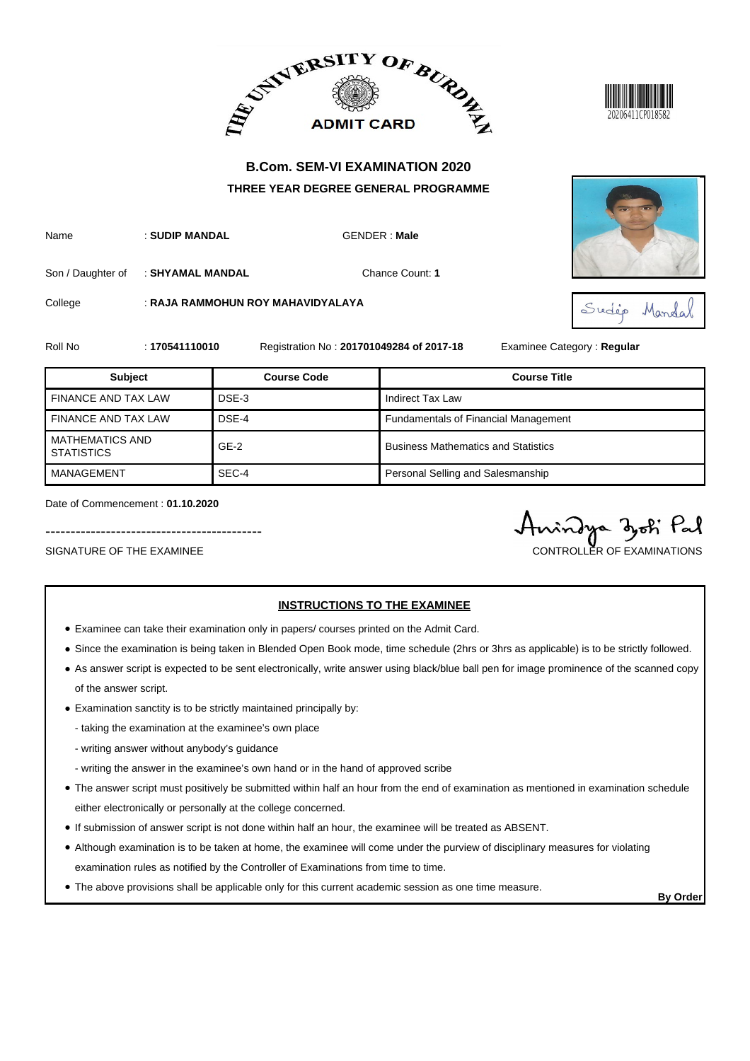



Name : **SUDIP MANDAL** GENDER : **Male**

Son / Daughter of : **SHYAMAL MANDAL Chance Count: 1** 

College : **RAJA RAMMOHUN ROY MAHAVIDYALAYA**





Roll No : **170541110010** Registration No : **201701049284 of 2017-18** Examinee Category : **Regular**

| <b>Subject</b>                              | <b>Course Code</b> | <b>Course Title</b>                         |
|---------------------------------------------|--------------------|---------------------------------------------|
| FINANCE AND TAX LAW                         | DSE-3              | Indirect Tax Law                            |
| <b>FINANCE AND TAX LAW</b>                  | DSE-4              | <b>Fundamentals of Financial Management</b> |
| <b>MATHEMATICS AND</b><br><b>STATISTICS</b> | $GE-2$             | <b>Business Mathematics and Statistics</b>  |
| MANAGEMENT                                  | SEC-4              | Personal Selling and Salesmanship           |

Date of Commencement : **01.10.2020**

SIGNATURE OF THE EXAMINEE CONTROLLER OF EXAMINATIONS

-------------------------------------------

# **INSTRUCTIONS TO THE EXAMINEE**

- Examinee can take their examination only in papers/ courses printed on the Admit Card.
- Since the examination is being taken in Blended Open Book mode, time schedule (2hrs or 3hrs as applicable) is to be strictly followed.
- As answer script is expected to be sent electronically, write answer using black/blue ball pen for image prominence of the scanned copy of the answer script.
- Examination sanctity is to be strictly maintained principally by:
	- taking the examination at the examinee's own place
	- writing answer without anybody's guidance
	- writing the answer in the examinee's own hand or in the hand of approved scribe
- The answer script must positively be submitted within half an hour from the end of examination as mentioned in examination schedule either electronically or personally at the college concerned.
- If submission of answer script is not done within half an hour, the examinee will be treated as ABSENT.
- Although examination is to be taken at home, the examinee will come under the purview of disciplinary measures for violating examination rules as notified by the Controller of Examinations from time to time.
- The above provisions shall be applicable only for this current academic session as one time measure.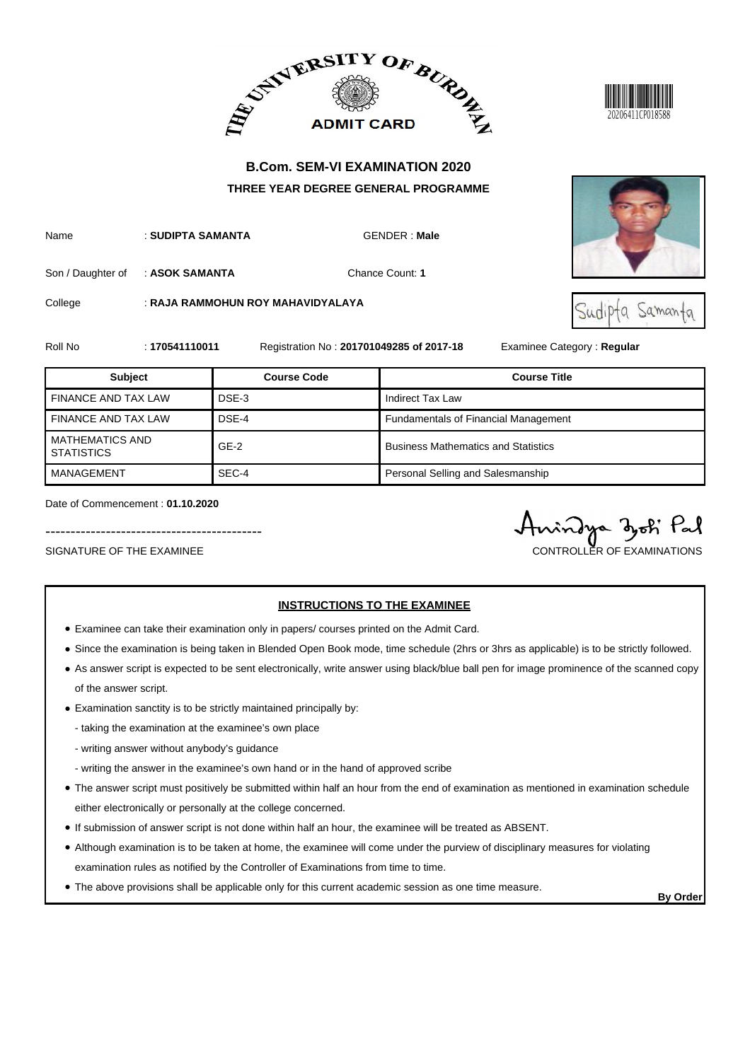



Name : **SUDIPTA SAMANTA GENDER : Male** 

Son / Daughter of : **ASOK SAMANTA Chance Count: 1** 

College : **RAJA RAMMOHUN ROY MAHAVIDYALAYA**





Roll No : **170541110011** Registration No : **201701049285 of 2017-18** Examinee Category : **Regular**

| <b>Subject</b>                              | <b>Course Code</b> | <b>Course Title</b>                         |
|---------------------------------------------|--------------------|---------------------------------------------|
| FINANCE AND TAX LAW                         | DSE-3              | Indirect Tax Law                            |
| <b>FINANCE AND TAX LAW</b>                  | DSE-4              | <b>Fundamentals of Financial Management</b> |
| <b>MATHEMATICS AND</b><br><b>STATISTICS</b> | $GE-2$             | <b>Business Mathematics and Statistics</b>  |
| MANAGEMENT                                  | SEC-4              | Personal Selling and Salesmanship           |

Date of Commencement : **01.10.2020**

SIGNATURE OF THE EXAMINEE CONTROLLER OF EXAMINATIONS

-------------------------------------------

## **INSTRUCTIONS TO THE EXAMINEE**

- Examinee can take their examination only in papers/ courses printed on the Admit Card.
- Since the examination is being taken in Blended Open Book mode, time schedule (2hrs or 3hrs as applicable) is to be strictly followed.
- As answer script is expected to be sent electronically, write answer using black/blue ball pen for image prominence of the scanned copy of the answer script.
- Examination sanctity is to be strictly maintained principally by:
	- taking the examination at the examinee's own place
	- writing answer without anybody's guidance
	- writing the answer in the examinee's own hand or in the hand of approved scribe
- The answer script must positively be submitted within half an hour from the end of examination as mentioned in examination schedule either electronically or personally at the college concerned.
- If submission of answer script is not done within half an hour, the examinee will be treated as ABSENT.
- Although examination is to be taken at home, the examinee will come under the purview of disciplinary measures for violating examination rules as notified by the Controller of Examinations from time to time.
- The above provisions shall be applicable only for this current academic session as one time measure.